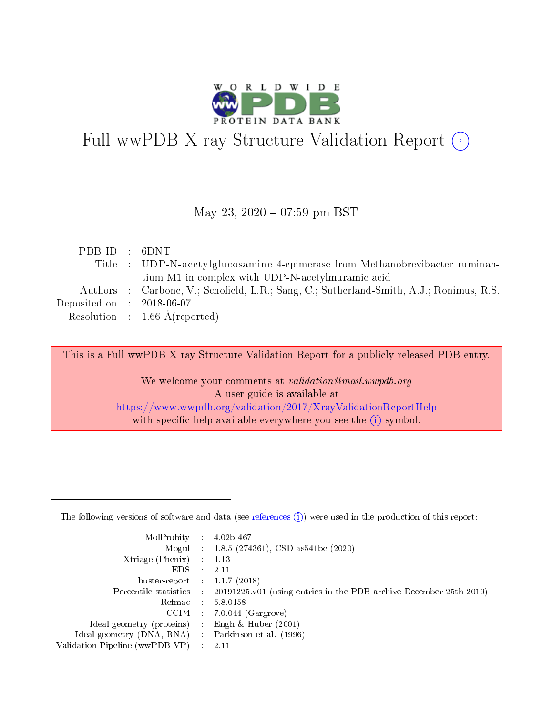

# Full wwPDB X-ray Structure Validation Report (i)

#### May 23, 2020 - 07:59 pm BST

| PDBID : 6DNT                |                                                                                         |
|-----------------------------|-----------------------------------------------------------------------------------------|
|                             | Title : UDP-N-acetylglucosamine 4-epimerase from Methanobrevibacter ruminan-            |
|                             | tium M1 in complex with UDP-N-acetylmuramic acid                                        |
|                             | Authors : Carbone, V.; Schofield, L.R.; Sang, C.; Sutherland-Smith, A.J.; Ronimus, R.S. |
| Deposited on : $2018-06-07$ |                                                                                         |
|                             | Resolution : $1.66 \text{ Å}$ (reported)                                                |

This is a Full wwPDB X-ray Structure Validation Report for a publicly released PDB entry.

We welcome your comments at validation@mail.wwpdb.org A user guide is available at <https://www.wwpdb.org/validation/2017/XrayValidationReportHelp> with specific help available everywhere you see the  $(i)$  symbol.

The following versions of software and data (see [references](https://www.wwpdb.org/validation/2017/XrayValidationReportHelp#references)  $(1)$ ) were used in the production of this report:

| MolProbity :                   |               | $4.02b - 467$                                                               |
|--------------------------------|---------------|-----------------------------------------------------------------------------|
|                                |               | Mogul : $1.8.5$ (274361), CSD as 541be (2020)                               |
| Xtriage (Phenix)               | $\mathcal{L}$ | 1.13                                                                        |
| EDS.                           |               | 2.11                                                                        |
| buster-report : $1.1.7$ (2018) |               |                                                                             |
| Percentile statistics :        |               | $20191225 \text{v}01$ (using entries in the PDB archive December 25th 2019) |
| Refmac :                       |               | 5.8.0158                                                                    |
| CCP4                           |               | $7.0.044$ (Gargrove)                                                        |
| Ideal geometry (proteins) :    |               | Engh $\&$ Huber (2001)                                                      |
| Ideal geometry (DNA, RNA) :    |               | Parkinson et al. (1996)                                                     |
| Validation Pipeline (wwPDB-VP) | $\mathcal{L}$ | 2.11                                                                        |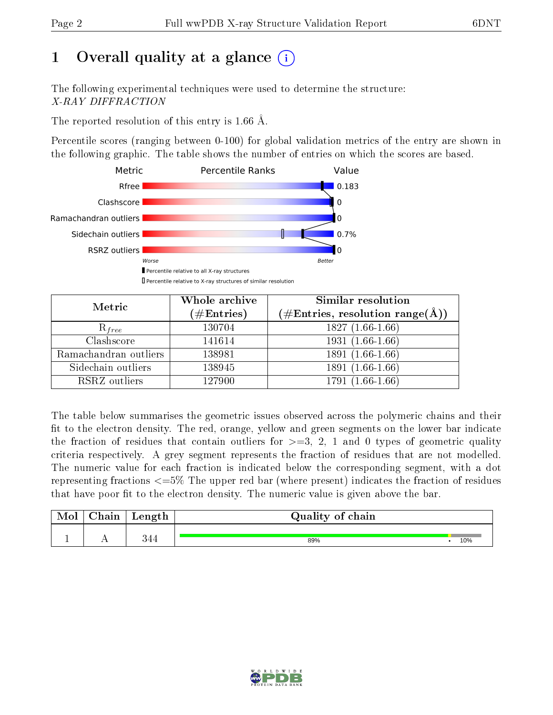# 1 [O](https://www.wwpdb.org/validation/2017/XrayValidationReportHelp#overall_quality)verall quality at a glance  $(i)$

The following experimental techniques were used to determine the structure: X-RAY DIFFRACTION

The reported resolution of this entry is 1.66 Å.

Percentile scores (ranging between 0-100) for global validation metrics of the entry are shown in the following graphic. The table shows the number of entries on which the scores are based.



| Metric                | Whole archive<br>$(\#\mathrm{Entries})$ | Similar resolution<br>$(\#\text{Entries},\, \text{resolution}\; \text{range}(\textup{\AA}))$ |
|-----------------------|-----------------------------------------|----------------------------------------------------------------------------------------------|
| $R_{free}$            | 130704                                  | $1827(1.66-1.66)$                                                                            |
| Clashscore            | 141614                                  | $1931(1.66-1.66)$                                                                            |
| Ramachandran outliers | 138981                                  | $1891(1.66-1.66)$                                                                            |
| Sidechain outliers    | 138945                                  | 1891 (1.66-1.66)                                                                             |
| RSRZ outliers         | 127900                                  | $1791(1.66-1.66)$                                                                            |

The table below summarises the geometric issues observed across the polymeric chains and their fit to the electron density. The red, orange, yellow and green segments on the lower bar indicate the fraction of residues that contain outliers for  $>=3, 2, 1$  and 0 types of geometric quality criteria respectively. A grey segment represents the fraction of residues that are not modelled. The numeric value for each fraction is indicated below the corresponding segment, with a dot representing fractions  $\epsilon=5\%$  The upper red bar (where present) indicates the fraction of residues that have poor fit to the electron density. The numeric value is given above the bar.

| Mol           | $\gamma$ hain        | Length | Quality of chain |     |
|---------------|----------------------|--------|------------------|-----|
| <u>. на п</u> | $\ddot{\phantom{1}}$ | 9 A A  | 89%              | 10% |

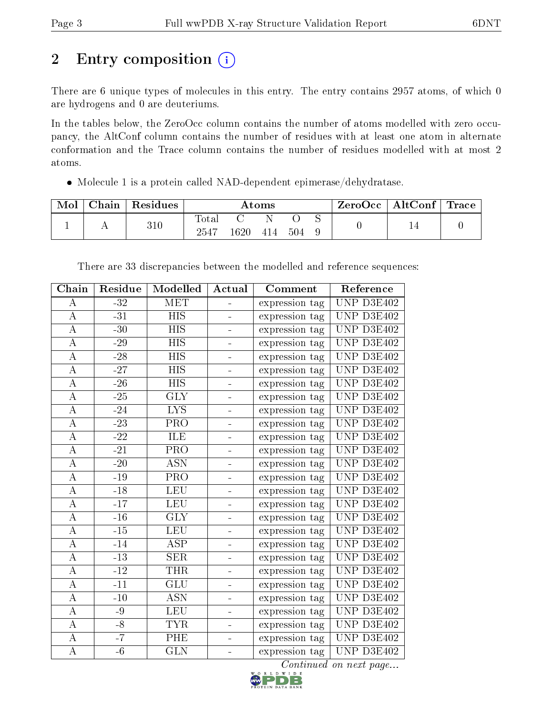# 2 Entry composition (i)

There are 6 unique types of molecules in this entry. The entry contains 2957 atoms, of which 0 are hydrogens and 0 are deuteriums.

In the tables below, the ZeroOcc column contains the number of atoms modelled with zero occupancy, the AltConf column contains the number of residues with at least one atom in alternate conformation and the Trace column contains the number of residues modelled with at most 2 atoms.

Molecule 1 is a protein called NAD-dependent epimerase/dehydratase.

| Chain | $\,$ Residues | Atoms          |     |  | $\text{ZeroOcc} \mid \text{AltConf} \mid \text{Trace}$ |  |  |  |
|-------|---------------|----------------|-----|--|--------------------------------------------------------|--|--|--|
|       | 310           | Total<br>-2547 | 620 |  | 504                                                    |  |  |  |

| Chain                 | Residue      | Modelled                  | Actual        | Comment        | Reference               |
|-----------------------|--------------|---------------------------|---------------|----------------|-------------------------|
| $\boldsymbol{A}$      | $-32$        | MET                       |               | expression tag | UNP D3E402              |
| $\overline{A}$        | $-31$        | $\overline{\mathrm{HIS}}$ |               | expression tag | UNP $\overline{D3E402}$ |
| $\boldsymbol{A}$      | $-30$        | <b>HIS</b>                |               | expression tag | UNP D3E402              |
| $\bf{A}$              | $-29$        | <b>HIS</b>                |               | expression tag | UNP D3E402              |
| $\bf{A}$              | $-28$        | <b>HIS</b>                |               | expression tag | UNP D3E402              |
| $\bf{A}$              | $-27$        | <b>HIS</b>                |               | expression tag | UNP D3E402              |
| $\bf{A}$              | $-26$        | $\overline{HIS}$          | ÷,            | expression tag | UNP D3E402              |
| $\bf{A}$              | $-25$        | <b>GLY</b>                |               | expression tag | UNP D3E402              |
| $\bf{A}$              | $-24$        | <b>LYS</b>                |               | expression tag | UNP D3E402              |
| $\overline{A}$        | $-23-$       | PRO                       |               | expression tag | UNP D3E402              |
| $\boldsymbol{A}$      | $-22$        | ILE                       |               | expression tag | UNP D3E402              |
| $\bf{A}$              | $-21$        | PRO                       |               | expression tag | UNP D3E402              |
| $\bf{A}$              | $-20$        | <b>ASN</b>                | $\frac{1}{2}$ | expression tag | UNP D3E402              |
| $\overline{A}$        | $-19$        | $\overline{\text{PRO}}$   |               | expression tag | UNP D3E402              |
| А                     | $-18$        | <b>LEU</b>                |               | expression tag | UNP D3E402              |
| $\bf{A}$              | $-17$        | <b>LEU</b>                |               | expression tag | UNP D3E402              |
| $\bf{A}$              | $-16$        | <b>GLY</b>                |               | expression tag | UNP D3E402              |
| $\bf{A}$              | $\mbox{-}15$ | LEU                       |               | expression tag | UNP D3E402              |
| $\bf{A}$              | $-14$        | $\overline{\text{ASP}}$   |               | expression tag | UNP D3E402              |
| $\boldsymbol{\rm{A}}$ | $-13$        | <b>SER</b>                |               | expression tag | UNP D3E402              |
| $\bf{A}$              | $-12$        | <b>THR</b>                |               | expression tag | UNP D3E402              |
| $\bf{A}$              | $-11$        | <b>GLU</b>                | ÷             | expression tag | UNP D3E402              |
| $\boldsymbol{\rm{A}}$ | $-10$        | <b>ASN</b>                |               | expression tag | UNP $D3E402$            |
| А                     | $-9$         | <b>LEU</b>                |               | expression tag | UNP D3E402              |
| $\bf{A}$              | $-8$         | <b>TYR</b>                | $\frac{1}{2}$ | expression tag | UNP D3E402              |
| $\overline{A}$        | $-7$         | PHE                       |               | expression tag | UNP D3E402              |
| $\bf{A}$              | $-6$         | <b>GLN</b>                |               | expression tag | UNP D3E402              |

There are 33 discrepancies between the modelled and reference sequences:

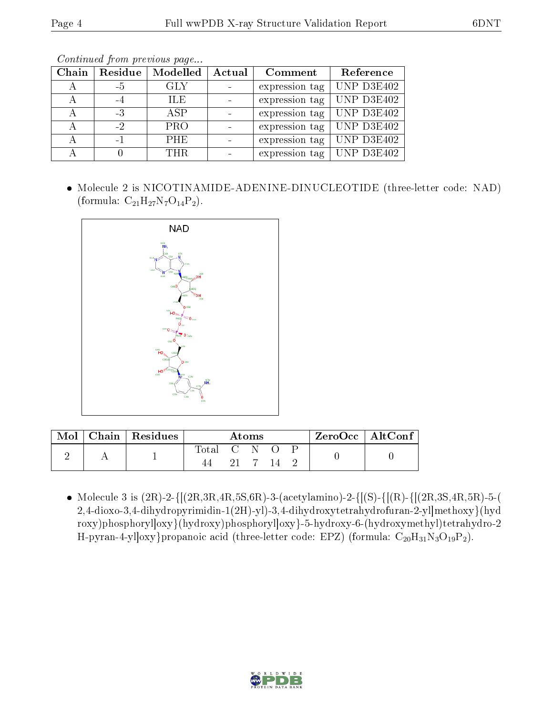|       |         | Contribution provided buyers. |        |                |            |
|-------|---------|-------------------------------|--------|----------------|------------|
| Chain | Residue | Modelled                      | Actual | Comment        | Reference  |
|       | $-5$    | <b>GLY</b>                    |        | expression tag | UNP D3E402 |
| А     | -4      | ILE.                          |        | expression tag | UNP D3E402 |
| А     | $-3$    | <b>ASP</b>                    |        | expression tag | UNP D3E402 |
|       | $-2$    | <b>PRO</b>                    |        | expression tag | UNP D3E402 |
|       | - 1     | PHE.                          |        | expression tag | UNP D3E402 |
|       |         | THR.                          |        | expression tag | UNP D3E402 |

Continued from previous page.

 Molecule 2 is NICOTINAMIDE-ADENINE-DINUCLEOTIDE (three-letter code: NAD) (formula:  $C_{21}H_{27}N_7O_{14}P_2$ ).



| $\operatorname{Mol}$ | $\mid$ Chain $\mid$ Residues |             |    | Atoms |  | ZeroOcc   AltConf |  |
|----------------------|------------------------------|-------------|----|-------|--|-------------------|--|
|                      |                              | Total C N O | 21 |       |  |                   |  |

• Molecule 3 is  $(2R)$ -2-{ $[(2R,3R,4R,5S,6R)$ -3-(acetylamino)-2-{ $[(S)$ -{ $[(R)$ -{ $[(2R,3S,4R,5R)$ -5-( 2,4-dioxo-3,4-dihydropyrimidin-1(2H)-yl)-3,4-dihydroxytetrahydrofuran-2-yl]methoxy}(hyd roxy)phosphoryl]oxy}(hydroxy)phosphoryl]oxy}-5-hydroxy-6-(hydroxymethyl)tetrahydro-2 H-pyran-4-yl $\vert$ oxy}propanoic acid (three-letter code: EPZ) (formula:  $C_{20}H_{31}N_3O_{19}P_2$ ).

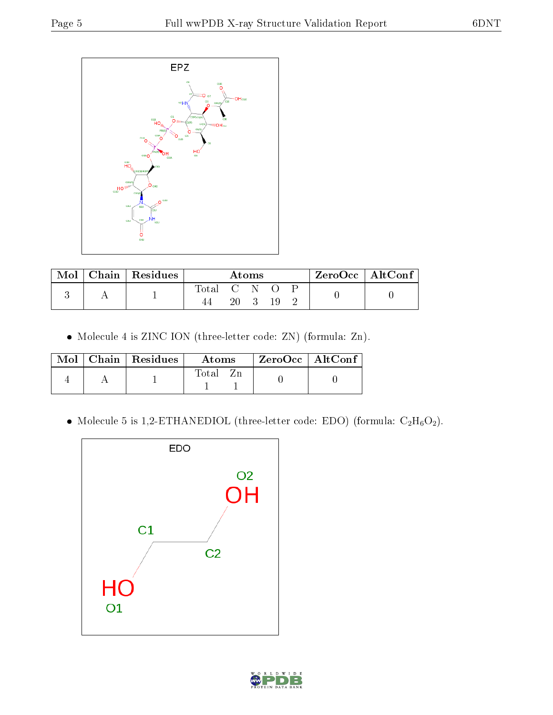

|  | Chain   Residues |           | $\rm{Atoms}$ |  | ZeroOcc   AltConf |
|--|------------------|-----------|--------------|--|-------------------|
|  |                  | Total C N |              |  |                   |
|  |                  |           |              |  |                   |

Molecule 4 is ZINC ION (three-letter code: ZN) (formula: Zn).

|  | $\text{Mol}$   Chain   Residues | Atoms | $ZeroOcc \   \ AltConf$ |
|--|---------------------------------|-------|-------------------------|
|  |                                 | Total |                         |

 $\bullet$  Molecule 5 is 1,2-ETHANEDIOL (three-letter code: EDO) (formula:  $\rm{C_2H_6O_2}).$ 



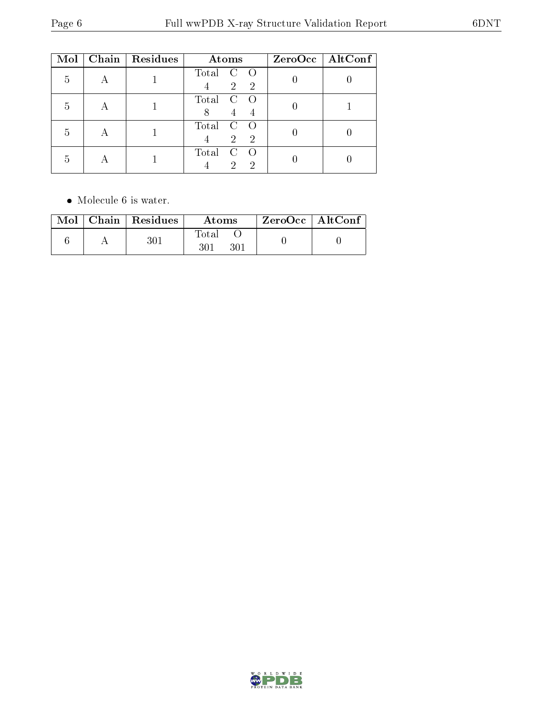| Mol | Chain   Residues | Atoms                                                         | ZeroOcc   AltConf |
|-----|------------------|---------------------------------------------------------------|-------------------|
| .5  |                  | Total<br>$\left( \right)$<br>$\overline{2}$<br>$\overline{2}$ |                   |
| h   |                  | Total<br>$\rm C$                                              |                   |
| .h  |                  | Total<br>C<br>$\mathcal{D}$<br>$\overline{2}$                 |                   |
| h   |                  | Total<br>റ<br>2                                               |                   |

• Molecule 6 is water.

|  | Mol   Chain   Residues | Atoms               | $\,$ ZeroOcc   AltConf |  |
|--|------------------------|---------------------|------------------------|--|
|  | 301                    | Total<br>301<br>301 |                        |  |

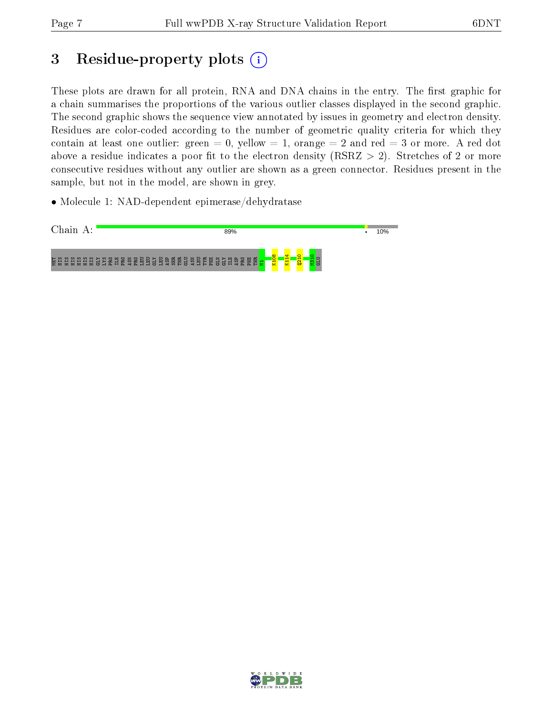## 3 Residue-property plots  $(i)$

These plots are drawn for all protein, RNA and DNA chains in the entry. The first graphic for a chain summarises the proportions of the various outlier classes displayed in the second graphic. The second graphic shows the sequence view annotated by issues in geometry and electron density. Residues are color-coded according to the number of geometric quality criteria for which they contain at least one outlier: green  $= 0$ , yellow  $= 1$ , orange  $= 2$  and red  $= 3$  or more. A red dot above a residue indicates a poor fit to the electron density (RSRZ  $> 2$ ). Stretches of 2 or more consecutive residues without any outlier are shown as a green connector. Residues present in the sample, but not in the model, are shown in grey.

• Molecule 1: NAD-dependent epimerase/dehydratase



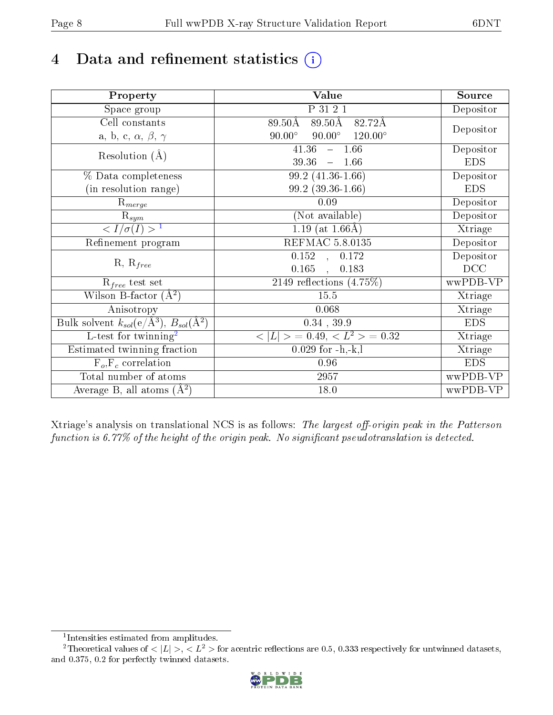# 4 Data and refinement statistics  $(i)$

| Property                                                             | Value                                              | Source     |
|----------------------------------------------------------------------|----------------------------------------------------|------------|
| Space group                                                          | P 31 2 1                                           | Depositor  |
| Cell constants                                                       | $89.50\text{\AA}$<br>$89.50\text{\AA}$<br>82.72Å   |            |
| a, b, c, $\alpha$ , $\beta$ , $\gamma$                               | $90.00^\circ$<br>$90.00^\circ$<br>$120.00^{\circ}$ | Depositor  |
| Resolution $(A)$                                                     | 41.36<br>$-1.66$                                   | Depositor  |
|                                                                      | 39.36<br>$-1.66$                                   | <b>EDS</b> |
| % Data completeness                                                  | 99.2 (41.36-1.66)                                  | Depositor  |
| (in resolution range)                                                | 99.2 (39.36-1.66)                                  | <b>EDS</b> |
| $\mathrm{R}_{merge}$                                                 | 0.09                                               | Depositor  |
| $\mathrm{R}_{sym}$                                                   | (Not available)                                    | Depositor  |
| $\langle I/\sigma(I) \rangle^{-1}$                                   | 1.19 (at $1.66\text{\AA}$ )                        | Xtriage    |
| Refinement program                                                   | <b>REFMAC 5.8.0135</b>                             | Depositor  |
|                                                                      | 0.152, 0.172                                       | Depositor  |
| $R, R_{free}$                                                        | 0.165<br>0.183<br>$\ddot{\phantom{a}}$             | DCC        |
| $R_{free}$ test set                                                  | $\overline{2149}$ reflections $(4.75\%)$           | wwPDB-VP   |
| Wilson B-factor $(A^2)$                                              | 15.5                                               | Xtriage    |
| Anisotropy                                                           | 0.068                                              | Xtriage    |
| Bulk solvent $k_{sol}(e/\mathring{A}^3)$ , $B_{sol}(\mathring{A}^2)$ | $0.34$ , 39.9                                      | <b>EDS</b> |
| $\overline{L-test for}$ twinning <sup>2</sup>                        | $< L >$ = 0.49, $< L^2 >$ = 0.32                   | Xtriage    |
| Estimated twinning fraction                                          | $0.029$ for $-h,-k,l$                              | Xtriage    |
| $F_o, F_c$ correlation                                               | 0.96                                               | <b>EDS</b> |
| Total number of atoms                                                | 2957                                               | wwPDB-VP   |
| Average B, all atoms $(A^2)$                                         | 18.0                                               | wwPDB-VP   |

Xtriage's analysis on translational NCS is as follows: The largest off-origin peak in the Patterson function is  $6.77\%$  of the height of the origin peak. No significant pseudotranslation is detected.

<sup>&</sup>lt;sup>2</sup>Theoretical values of  $\langle |L| \rangle$ ,  $\langle L^2 \rangle$  for acentric reflections are 0.5, 0.333 respectively for untwinned datasets, and 0.375, 0.2 for perfectly twinned datasets.



<span id="page-7-1"></span><span id="page-7-0"></span><sup>1</sup> Intensities estimated from amplitudes.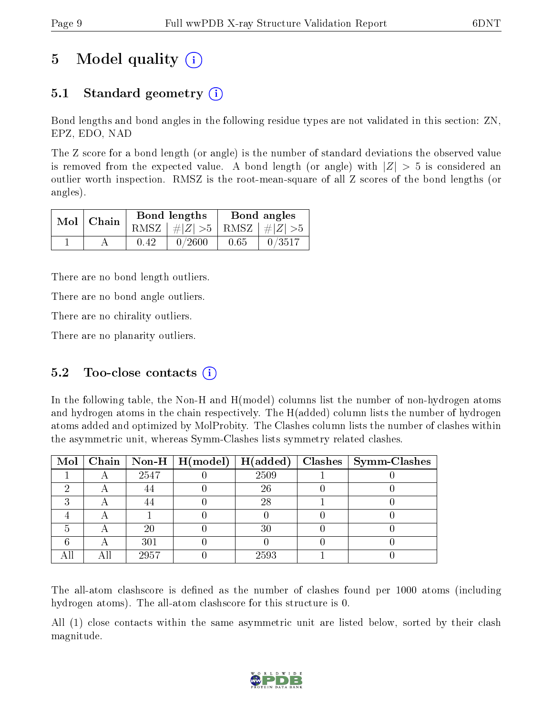# 5 Model quality  $(i)$

## 5.1 Standard geometry (i)

Bond lengths and bond angles in the following residue types are not validated in this section: ZN, EPZ, EDO, NAD

The Z score for a bond length (or angle) is the number of standard deviations the observed value is removed from the expected value. A bond length (or angle) with  $|Z| > 5$  is considered an outlier worth inspection. RMSZ is the root-mean-square of all Z scores of the bond lengths (or angles).

| $Mol$   Chain |      | Bond lengths                    | Bond angles |        |  |
|---------------|------|---------------------------------|-------------|--------|--|
|               |      | RMSZ $ #Z  > 5$ RMSZ $ #Z  > 5$ |             |        |  |
|               | 0.42 | 0/2600                          | 0.65        | 0/3517 |  |

There are no bond length outliers.

There are no bond angle outliers.

There are no chirality outliers.

There are no planarity outliers.

### 5.2 Too-close contacts  $(i)$

In the following table, the Non-H and H(model) columns list the number of non-hydrogen atoms and hydrogen atoms in the chain respectively. The H(added) column lists the number of hydrogen atoms added and optimized by MolProbity. The Clashes column lists the number of clashes within the asymmetric unit, whereas Symm-Clashes lists symmetry related clashes.

|  |      | Mol   Chain   Non-H   H(model)   H(added) |      | $Clashes$   Symm-Clashes |
|--|------|-------------------------------------------|------|--------------------------|
|  | 2547 |                                           | 2509 |                          |
|  |      |                                           | 26   |                          |
|  |      |                                           | 28   |                          |
|  |      |                                           |      |                          |
|  | 20   |                                           | 30   |                          |
|  | 301  |                                           |      |                          |
|  | 2957 |                                           | 2593 |                          |

The all-atom clashscore is defined as the number of clashes found per 1000 atoms (including hydrogen atoms). The all-atom clashscore for this structure is 0.

All (1) close contacts within the same asymmetric unit are listed below, sorted by their clash magnitude.

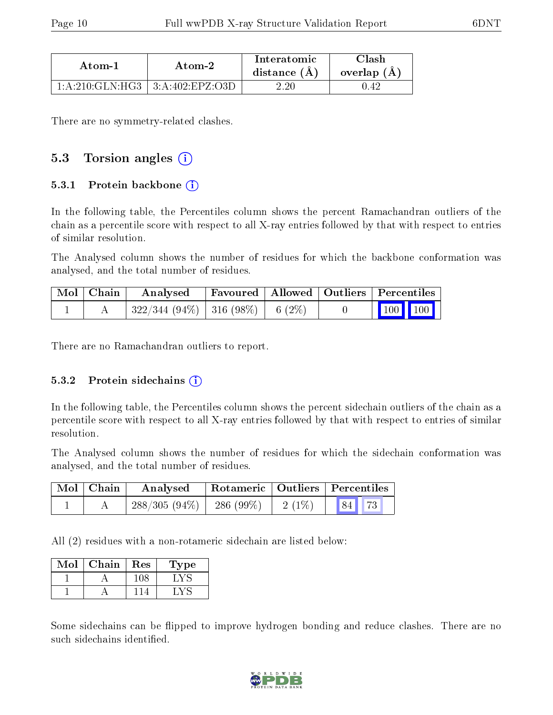| Atom-2<br>Atom-1<br>1:A:210:GLN:HG3   3:A:402:EPZ:O3D |  | Interatomic<br>distance $(A)$ | Clash<br>overlap $(A)$ |  |
|-------------------------------------------------------|--|-------------------------------|------------------------|--|
|                                                       |  | 2.20                          | 142                    |  |

There are no symmetry-related clashes.

#### 5.3 Torsion angles (i)

#### 5.3.1 Protein backbone  $(i)$

In the following table, the Percentiles column shows the percent Ramachandran outliers of the chain as a percentile score with respect to all X-ray entries followed by that with respect to entries of similar resolution.

The Analysed column shows the number of residues for which the backbone conformation was analysed, and the total number of residues.

| Mol   Chain | Favoured   Allowed   Outliers   Percentiles<br>Analysed |  |  |  |  |
|-------------|---------------------------------------------------------|--|--|--|--|
|             | $322/344 (94\%)$ 316 (98\%) 6 (2\%)                     |  |  |  |  |

There are no Ramachandran outliers to report.

#### 5.3.2 Protein sidechains  $(i)$

In the following table, the Percentiles column shows the percent sidechain outliers of the chain as a percentile score with respect to all X-ray entries followed by that with respect to entries of similar resolution.

The Analysed column shows the number of residues for which the sidechain conformation was analysed, and the total number of residues.

| $\mid$ Mol $\mid$ Chain | Analysed         | Rotameric   Outliers   Percentiles |          |       |  |
|-------------------------|------------------|------------------------------------|----------|-------|--|
|                         | $-288/305(94\%)$ | $-286(99\%)$                       | $2(1\%)$ | 84 73 |  |

All (2) residues with a non-rotameric sidechain are listed below:

| $\operatorname{Mol}$ | Chain | Res | Type |
|----------------------|-------|-----|------|
|                      |       |     |      |
|                      |       |     |      |

Some sidechains can be flipped to improve hydrogen bonding and reduce clashes. There are no such sidechains identified.

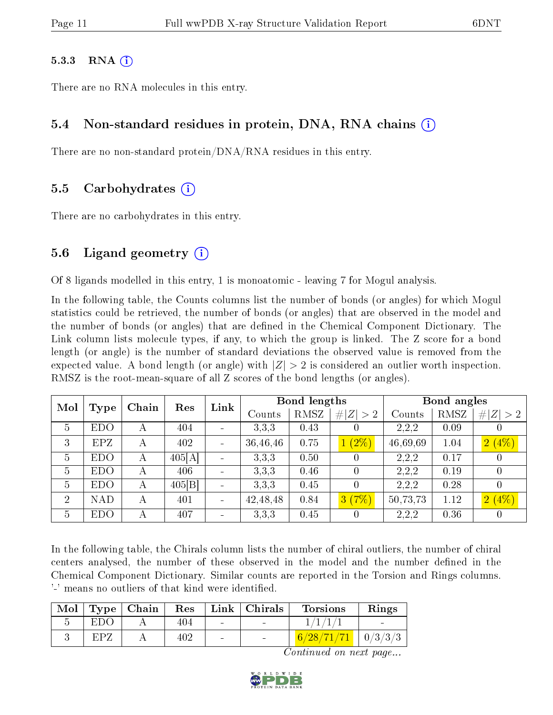#### $5.3.3$  RNA  $(i)$

There are no RNA molecules in this entry.

#### 5.4 Non-standard residues in protein, DNA, RNA chains (i)

There are no non-standard protein/DNA/RNA residues in this entry.

#### 5.5 Carbohydrates (i)

There are no carbohydrates in this entry.

#### 5.6 Ligand geometry  $(i)$

Of 8 ligands modelled in this entry, 1 is monoatomic - leaving 7 for Mogul analysis.

In the following table, the Counts columns list the number of bonds (or angles) for which Mogul statistics could be retrieved, the number of bonds (or angles) that are observed in the model and the number of bonds (or angles) that are defined in the Chemical Component Dictionary. The Link column lists molecule types, if any, to which the group is linked. The Z score for a bond length (or angle) is the number of standard deviations the observed value is removed from the expected value. A bond length (or angle) with  $|Z| > 2$  is considered an outlier worth inspection. RMSZ is the root-mean-square of all Z scores of the bond lengths (or angles).

| Mol<br>Type    |            |   | Chain<br>Res | Link |            | <b>Bond lengths</b> |         | Bond angles |             |                  |        |      |             |
|----------------|------------|---|--------------|------|------------|---------------------|---------|-------------|-------------|------------------|--------|------|-------------|
|                |            |   |              |      |            |                     |         | Counts      | <b>RMSZ</b> | # $ Z  > 2$      | Counts | RMSZ | # $ Z  > 2$ |
| 5              | <b>EDO</b> | А | 404          |      | 3,3,3      | 0.43                |         | 2,2,2       | 0.09        | U                |        |      |             |
| 3              | <b>EPZ</b> | А | 402          |      | 36,46,46   | 0.75                | $(2\%)$ | 46,69,69    | 1.04        | 2(4%)            |        |      |             |
| 5              | <b>EDO</b> | А | 405[A]       |      | 3,3,3      | 0.50                |         | 2,2,2       | 0.17        | $\theta$         |        |      |             |
| 5              | <b>EDO</b> | А | 406          |      | 3,3,3      | 0.46                |         | 2,2,2       | 0.19        | $\left( \right)$ |        |      |             |
| 5              | <b>EDO</b> | А | 405 B        |      | 3,3,3      | 0.45                |         | 2,2,2       | 0.28        | $\left( \right)$ |        |      |             |
| $\overline{2}$ | <b>NAD</b> | Α | 401          |      | 42, 48, 48 | 0.84                | 3(7%)   | 50,73,73    | 1.12        | 2(4%)            |        |      |             |
| 5              | <b>EDO</b> | А | 407          |      | 3,3,3      | 0.45                |         | 2,2,2       | 0.36        | $\theta$         |        |      |             |

In the following table, the Chirals column lists the number of chiral outliers, the number of chiral centers analysed, the number of these observed in the model and the number defined in the Chemical Component Dictionary. Similar counts are reported in the Torsion and Rings columns. '-' means no outliers of that kind were identified.

| Mol |            | $\perp$ Type $\parallel$ Chain $\perp$ | Res | Link   Christmas         | <b>Torsions</b> | Rings                             |
|-----|------------|----------------------------------------|-----|--------------------------|-----------------|-----------------------------------|
|     | <b>EDO</b> |                                        | 404 |                          |                 | <b>Contract Contract Contract</b> |
|     | FPZ        |                                        | 402 | $\overline{\phantom{a}}$ | 6/28/71/71      | $\frac{1}{2}$ 0/3/3/3             |

Continued on next page...

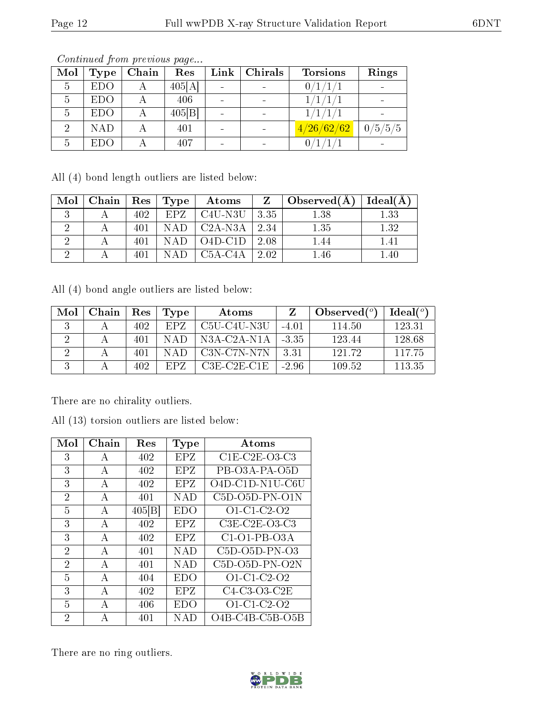| Mol                       | <b>Type</b> | Chain | Res    | Link | Chirals | <b>Torsions</b>  | Rings   |
|---------------------------|-------------|-------|--------|------|---------|------------------|---------|
| 5                         | <b>EDO</b>  |       | 405[A] |      |         | $^{\prime}1/1/1$ |         |
| $\overline{\mathfrak{d}}$ | <b>EDO</b>  |       | 406    |      |         | /1/1             |         |
| 5                         | <b>EDO</b>  |       | 405 B  |      |         | $^{\prime}1/1/1$ |         |
|                           | <b>NAD</b>  |       | 401    |      |         | 4/26/62/62       | 0/5/5/5 |
|                           | <b>EDO</b>  |       | 407    |      |         |                  |         |

Continued from previous page...

All (4) bond length outliers are listed below:

| Mol | Chain | $\operatorname{Res}$ | Type | Atoms                             |      | $\Box$ Observed(A) | Ideal(A) |
|-----|-------|----------------------|------|-----------------------------------|------|--------------------|----------|
|     |       | 402                  | FPZ. | $C4U-N3U$                         | 3.35 | 1.38               | 1.33     |
|     |       | 401                  | NAD  | $C2A-NSA$                         | 2.34 | 1.35               | 1.32     |
|     |       | 401                  | NAD  | $O4D-C1D$                         | 2.08 | 1.44               | 1.41     |
|     |       | 401                  | NAD  | C <sub>5</sub> A-C <sub>4</sub> A | 2.02 | 1.46               | 1.40     |

All (4) bond angle outliers are listed below:

| Mol | Chain | $\vert$ Res | Type | Atoms                                    |         | Observed $(°)$ | Ideal <sup>(o)</sup> |
|-----|-------|-------------|------|------------------------------------------|---------|----------------|----------------------|
|     |       | 402.        | FPZ. | C5U-C4U-N3U                              | $-4.01$ | 114.50         | 123.31               |
|     |       | 401         | NAD  | $N3A$ -C <sub>2</sub> A-N <sub>1</sub> A | $-3.35$ | 123.44         | 128.68               |
|     |       | 401         | NAD  | $C3N-C7N- N7N$                           | 3.31    | 121.72         | 11775                |
|     |       | 402.        | FPZ. | $C3E-C2E-C1E$                            | $-2.96$ | 109.52         | 113.35               |

There are no chirality outliers.

All (13) torsion outliers are listed below:

| Mol            | Chain        | Res    | Type       | Atoms            |
|----------------|--------------|--------|------------|------------------|
| 3              | A            | 402    | <b>EPZ</b> | C1E-C2E-O3-C3    |
| 3              | A            | 402    | <b>EPZ</b> | PB-O3A-PA-O5D    |
| 3              | А            | 402    | <b>EPZ</b> | O4D-C1D-N1U-C6U  |
| $\overline{2}$ | А            | 401    | NAD        | $C5D-O5D-PN-O1N$ |
| 5              | A            | 405[B] | <b>EDO</b> | $O1-C1-C2-O2$    |
| 3              | А            | 402    | EPZ        | C3E-C2E-O3-C3    |
| 3              | А            | 402    | <b>EPZ</b> | $C1-O1-PB-O3A$   |
| 2              | $\mathbf{A}$ | 401    | NAD        | $C5D-O5D-PN-O3$  |
| $\overline{2}$ | А            | 401    | NAD        | $C5D-O5D-PN-O2N$ |
| 5              | А            | 404    | EDO        | O1-C1-C2-O2      |
| 3              | А            | 402    | EPZ        | C4-C3-O3-C2E     |
| 5              | А            | 406    | EDO        | $O1-C1-C2-O2$    |
| 2              | А            | 401    | NAD        | O4B-C4B-C5B-O5B  |

There are no ring outliers.

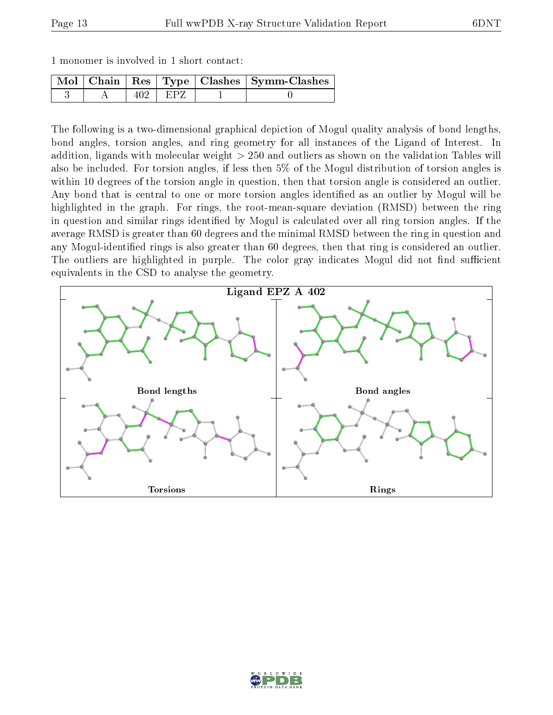|  | 1 monomer is involved in 1 short contact: |  |  |  |  |  |  |  |
|--|-------------------------------------------|--|--|--|--|--|--|--|
|--|-------------------------------------------|--|--|--|--|--|--|--|

|  |      | Mol   Chain   Res   Type   Clashes   Symm-Clashes |
|--|------|---------------------------------------------------|
|  | -EPZ |                                                   |

The following is a two-dimensional graphical depiction of Mogul quality analysis of bond lengths, bond angles, torsion angles, and ring geometry for all instances of the Ligand of Interest. In addition, ligands with molecular weight > 250 and outliers as shown on the validation Tables will also be included. For torsion angles, if less then 5% of the Mogul distribution of torsion angles is within 10 degrees of the torsion angle in question, then that torsion angle is considered an outlier. Any bond that is central to one or more torsion angles identified as an outlier by Mogul will be highlighted in the graph. For rings, the root-mean-square deviation (RMSD) between the ring in question and similar rings identified by Mogul is calculated over all ring torsion angles. If the average RMSD is greater than 60 degrees and the minimal RMSD between the ring in question and any Mogul-identified rings is also greater than 60 degrees, then that ring is considered an outlier. The outliers are highlighted in purple. The color gray indicates Mogul did not find sufficient equivalents in the CSD to analyse the geometry.



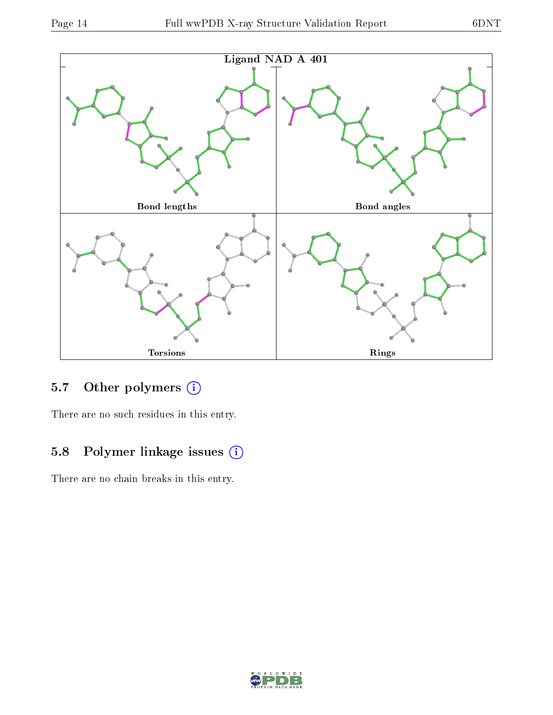

### 5.7 [O](https://www.wwpdb.org/validation/2017/XrayValidationReportHelp#nonstandard_residues_and_ligands)ther polymers (i)

There are no such residues in this entry.

## 5.8 Polymer linkage issues (i)

There are no chain breaks in this entry.

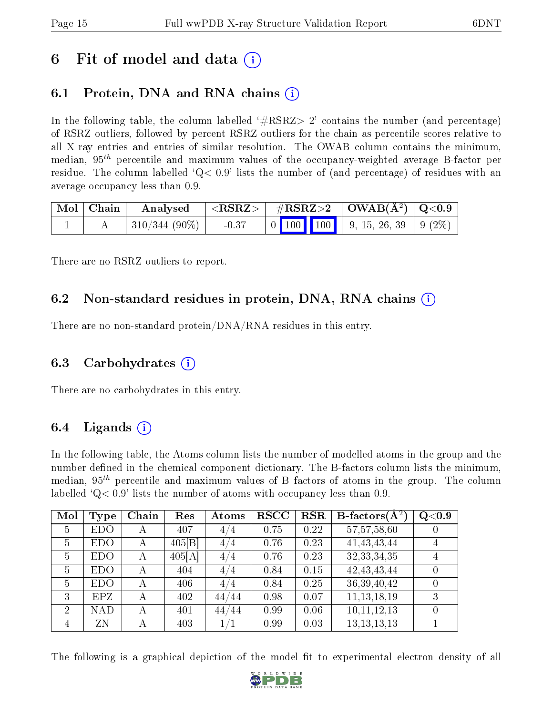## 6 Fit of model and data  $\left( \cdot \right)$

### 6.1 Protein, DNA and RNA chains (i)

In the following table, the column labelled  $#RSRZ>2'$  contains the number (and percentage) of RSRZ outliers, followed by percent RSRZ outliers for the chain as percentile scores relative to all X-ray entries and entries of similar resolution. The OWAB column contains the minimum, median,  $95<sup>th</sup>$  percentile and maximum values of the occupancy-weighted average B-factor per residue. The column labelled  $Q < 0.9$  lists the number of (and percentage) of residues with an average occupancy less than 0.9.

| Mol   Chain | Analysed            | $\vert$ <rsrz> <math>\vert</math></rsrz> | $\frac{1}{10}$ $\frac{1}{100}$ $\frac{1}{100}$ $\frac{1}{100}$ $\frac{1}{100}$ $\frac{1}{100}$ $\frac{1}{100}$ $\frac{1}{100}$ $\frac{1}{100}$ $\frac{1}{100}$ $\frac{1}{100}$ $\frac{1}{100}$ $\frac{1}{100}$ $\frac{1}{100}$ $\frac{1}{100}$ $\frac{1}{100}$ $\frac{1}{100}$ $\frac{1}{100}$ $\frac{1}{$ |  |
|-------------|---------------------|------------------------------------------|------------------------------------------------------------------------------------------------------------------------------------------------------------------------------------------------------------------------------------------------------------------------------------------------------------|--|
|             | $\pm$ 310/344 (90%) | $-0.37$                                  |                                                                                                                                                                                                                                                                                                            |  |

There are no RSRZ outliers to report.

### 6.2 Non-standard residues in protein, DNA, RNA chains  $(i)$

There are no non-standard protein/DNA/RNA residues in this entry.

#### 6.3 Carbohydrates (i)

There are no carbohydrates in this entry.

#### 6.4 Ligands  $(i)$

In the following table, the Atoms column lists the number of modelled atoms in the group and the number defined in the chemical component dictionary. The B-factors column lists the minimum, median,  $95<sup>th</sup>$  percentile and maximum values of B factors of atoms in the group. The column labelled  $Q< 0.9$ ' lists the number of atoms with occupancy less than 0.9.

| Mol            | <b>Type</b> | Chain | Res    | Atoms   | <b>RSCC</b> | <b>RSR</b> | $B\text{-}factors(\overline{A^2})$ | Q <sub>0.9</sub> |
|----------------|-------------|-------|--------|---------|-------------|------------|------------------------------------|------------------|
| 5              | <b>EDO</b>  | А     | 407    | 4/4     | 0.75        | 0.22       | 57, 57, 58, 60                     |                  |
| $\overline{5}$ | <b>EDO</b>  | А     | 405 B  | 4/4     | 0.76        | 0.23       | 41, 43, 43, 44                     | 4                |
| 5              | <b>EDO</b>  | А     | 405[A] | 4/4     | 0.76        | 0.23       | 32, 33, 34, 35                     | $\overline{4}$   |
| $\overline{5}$ | <b>EDO</b>  | А     | 404    | 4/4     | 0.84        | 0.15       | 42, 43, 43, 44                     |                  |
| 5              | <b>EDO</b>  | А     | 406    | 4/4     | 0.84        | 0.25       | 36, 39, 40, 42                     | $\left( \right)$ |
| 3              | <b>EPZ</b>  | А     | 402    | 44/44   | 0.98        | 0.07       | 11, 13, 18, 19                     | 3                |
| $\overline{2}$ | <b>NAD</b>  | А     | 401    | 44/44   | 0.99        | 0.06       | 10,11,12,13                        | $\left( \right)$ |
| $\overline{4}$ | ZN          | А     | 403    | $1/1\,$ | 0.99        | 0.03       | 13, 13, 13, 13                     |                  |

The following is a graphical depiction of the model fit to experimental electron density of all

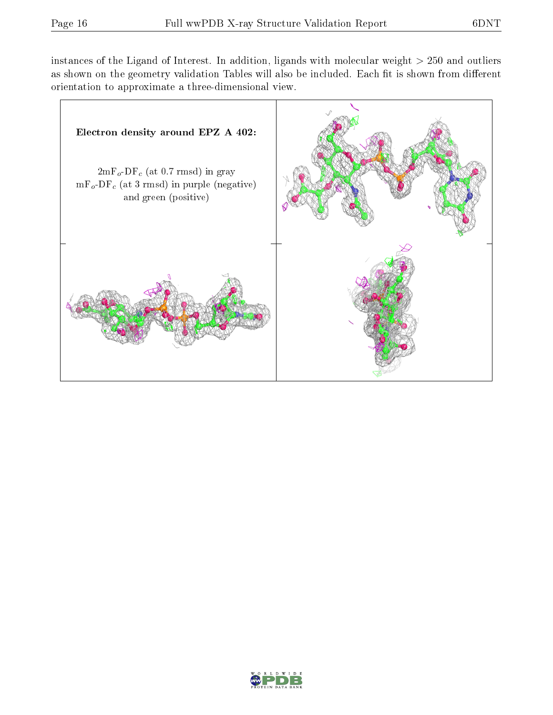instances of the Ligand of Interest. In addition, ligands with molecular weight  $> 250$  and outliers as shown on the geometry validation Tables will also be included. Each fit is shown from different orientation to approximate a three-dimensional view.